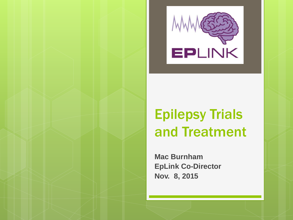

### Epilepsy Trials and Treatment

**Mac Burnham EpLink Co-Director Nov. 8, 2015**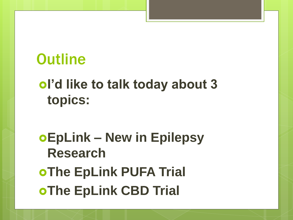### **Outline**

### **I'd like to talk today about 3 topics:**

## **EpLink – New in Epilepsy Research OThe EpLink PUFA Trial OThe EpLink CBD Trial**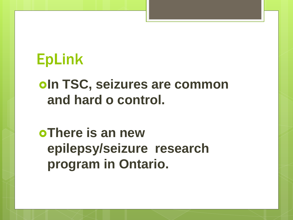### *<u>In TSC, seizures are common</u>* **and hard o control.**

**oThere is an new epilepsy/seizure research program in Ontario.**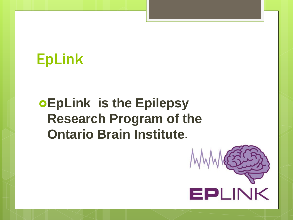### **EpLink is the Epilepsy Research Program of the Ontario Brain Institute.**

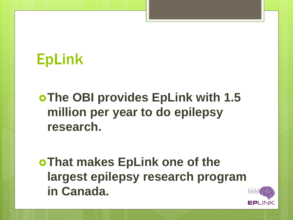#### **The OBI provides EpLink with 1.5 million per year to do epilepsy research.**

**That makes EpLink one of the largest epilepsy research program in Canada.**

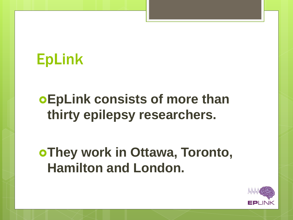### **EpLink consists of more than thirty epilepsy researchers.**

### **They work in Ottawa, Toronto, Hamilton and London.**

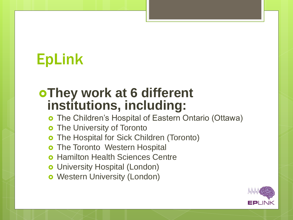#### **They work at 6 different institutions, including:**

- The Children's Hospital of Eastern Ontario (Ottawa)
- **o** The University of Toronto
- The Hospital for Sick Children (Toronto)
- The Toronto Western Hospital
- Hamilton Health Sciences Centre
- **o** University Hospital (London)
- **o** Western University (London)

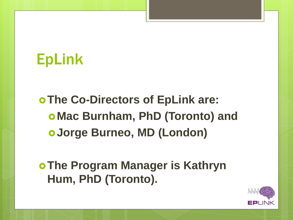**The Co-Directors of EpLink are: Mac Burnham, PhD (Toronto) and Jorge Burneo, MD (London)**

**The Program Manager is Kathryn Hum, PhD (Toronto).**

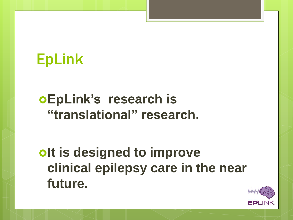### **EpLink's research is "translational" research.**

*<u>Olt is designed to improve</u>* **clinical epilepsy care in the near future.**

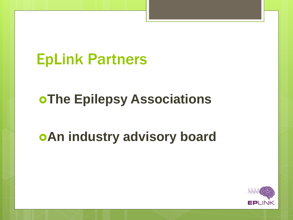### EpLink Partners

### **oThe Epilepsy Associations**

### **An industry advisory board**

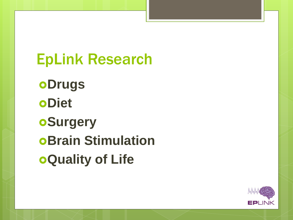EpLink Research **oDrugs oDiet oSurgery** *Brain Stimulation* **Quality of Life**

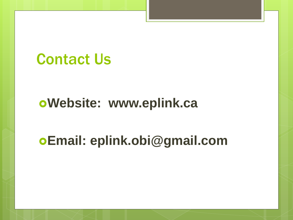### Contact Us

#### **Website: www.eplink.ca**

### **Email: eplink.obi@gmail.com**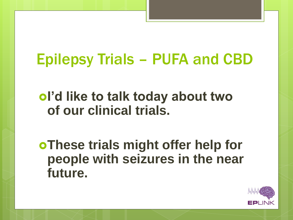## Epilepsy Trials – PUFA and CBD

#### **I'd like to talk today about two of our clinical trials.**

**These trials might offer help for people with seizures in the near future.**

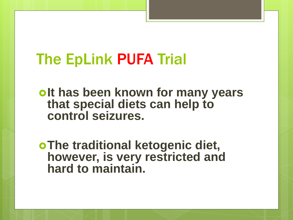**Polt has been known for many years that special diets can help to control seizures.**

**The traditional ketogenic diet, however, is very restricted and hard to maintain.**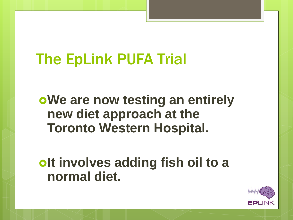**We are now testing an entirely new diet approach at the Toronto Western Hospital.**

**Polt involves adding fish oil to a normal diet.**

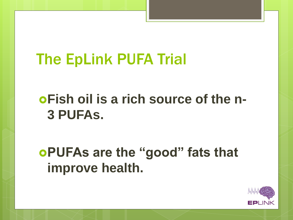### **Fish oil is a rich source of the n-3 PUFAs.**

### **PUFAs are the "good" fats that improve health.**

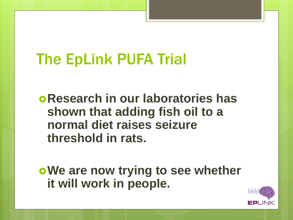**Research in our laboratories has shown that adding fish oil to a normal diet raises seizure threshold in rats.**

**We are now trying to see whether it will work in people.**

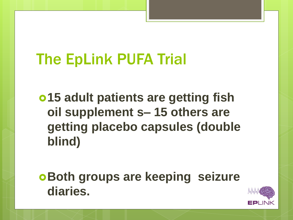**15 adult patients are getting fish oil supplement s– 15 others are getting placebo capsules (double blind)**

**Both groups are keeping seizure diaries.**

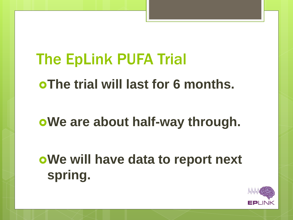The EpLink PUFA Trial **The trial will last for 6 months. We are about half-way through. We will have data to report next spring.**

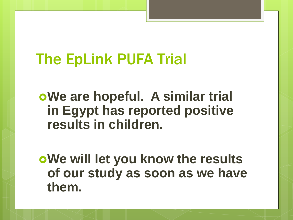**We are hopeful. A similar trial in Egypt has reported positive results in children.**

**We will let you know the results of our study as soon as we have them.**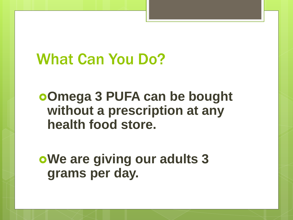**Omega 3 PUFA can be bought without a prescription at any health food store.**

**We are giving our adults 3 grams per day.**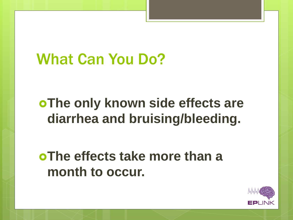### **The only known side effects are diarrhea and bruising/bleeding.**

### **The effects take more than a month to occur.**

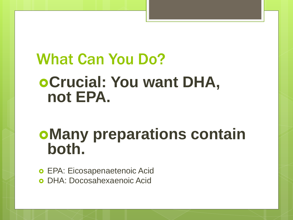# What Can You Do? **oCrucial: You want DHA, not EPA.**

### **Many preparations contain both.**

 EPA: Eicosapenaetenoic Acid DHA: Docosahexaenoic Acid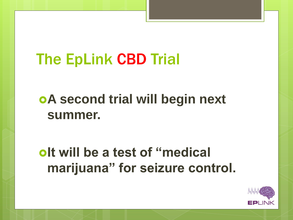### **A second trial will begin next summer.**

### *<u>Integral of the</u>* $\alpha$  **atest of "medical**  $\alpha$ **marijuana" for seizure control.**

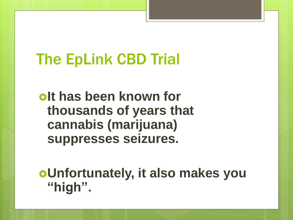*<u>olt</u>* has been known for **thousands of years that cannabis (marijuana) suppresses seizures.**

**Unfortunately, it also makes you "high".**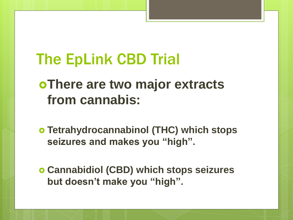### **There are two major extracts from cannabis:**

- **Tetrahydrocannabinol (THC) which stops seizures and makes you "high".**
- **Cannabidiol (CBD) which stops seizures but doesn't make you "high".**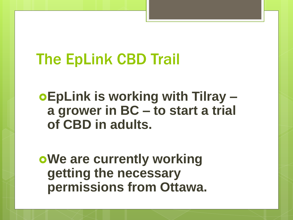**EpLink is working with Tilray – a grower in BC – to start a trial of CBD in adults.**

**oWe are currently working getting the necessary permissions from Ottawa.**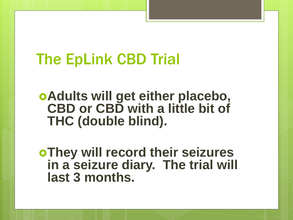**Adults will get either placebo, CBD or CBD with a little bit of THC (double blind).**

**They will record their seizures in a seizure diary. The trial will last 3 months.**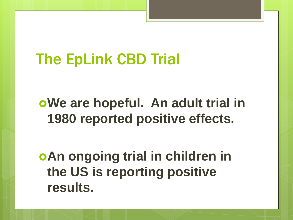### **We are hopeful. An adult trial in 1980 reported positive effects.**

**An ongoing trial in children in the US is reporting positive results.**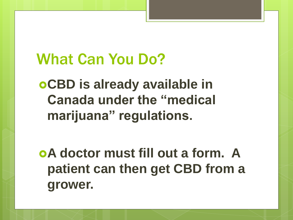**CBD is already available in Canada under the "medical marijuana" regulations.**

**A doctor must fill out a form. A patient can then get CBD from a grower.**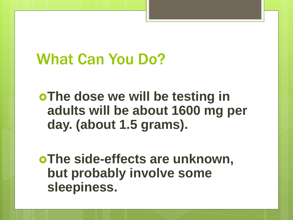**oThe dose we will be testing in adults will be about 1600 mg per day. (about 1.5 grams).**

**The side-effects are unknown, but probably involve some sleepiness.**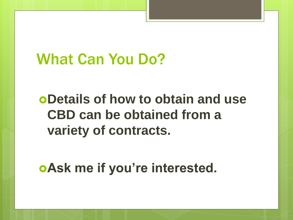### **Details of how to obtain and use CBD can be obtained from a variety of contracts.**

**Ask me if you're interested.**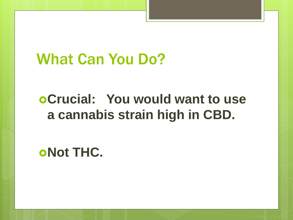### **Crucial: You would want to use a cannabis strain high in CBD.**

**oNot THC.**